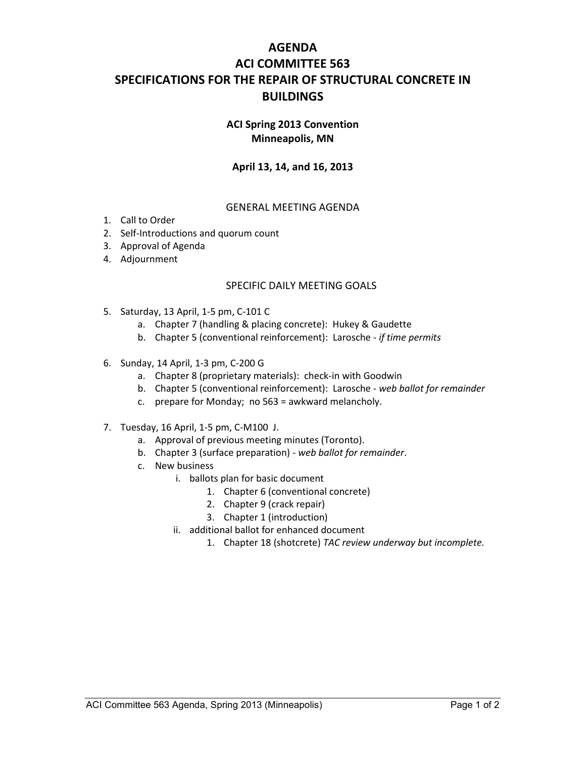# **AGENDA ACI COMMITTEE 563 SPECIFICATIONS FOR THE REPAIR OF STRUCTURAL CONCRETE IN BUILDINGS**

#### **ACI Spring 2013 Convention Minneapolis, MN**

### **April 13, 14, and 16, 2013**

#### GENERAL MEETING AGENDA

- 1. Call to Order
- 2. Self-Introductions and quorum count
- 3. Approval of Agenda
- 4. Adjournment

#### SPECIFIC DAILY MEETING GOALS

- 5. Saturday, 13 April, 1-5 pm, C-101 C
	- a. Chapter 7 (handling & placing concrete): Hukey & Gaudette
	- b. Chapter 5 (conventional reinforcement): Larosche *if time permits*
- 6. Sunday, 14 April, 1-3 pm, C-200 G
	- a. Chapter 8 (proprietary materials): check-in with Goodwin
	- b. Chapter 5 (conventional reinforcement): Larosche *web ballot for remainder*
	- c. prepare for Monday; no 563 = awkward melancholy.
- 7. Tuesday, 16 April, 1-5 pm, C-M100 J.
	- a. Approval of previous meeting minutes (Toronto).
	- b. Chapter 3 (surface preparation) *web ballot for remainder*.
	- c. New business
		- i. ballots plan for basic document
			- 1. Chapter 6 (conventional concrete)
			- 2. Chapter 9 (crack repair)
			- 3. Chapter 1 (introduction)
		- ii. additional ballot for enhanced document
			- 1. Chapter 18 (shotcrete) *TAC review underway but incomplete.*